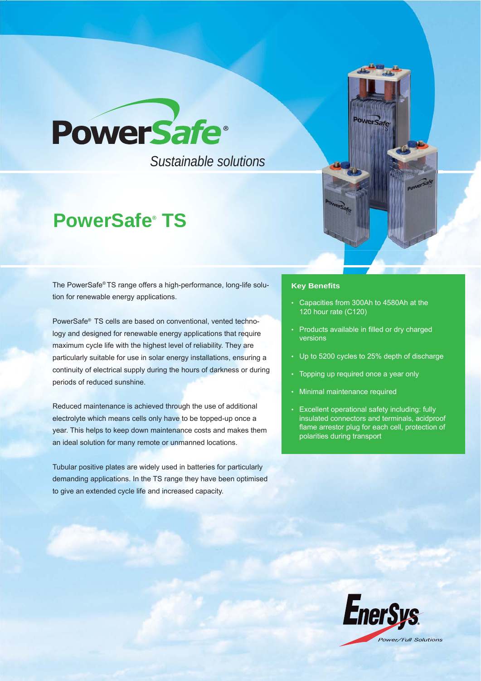

 *Sustainable solutions*

# **PowerSafe® TS**

The PowerSafe® TS range offers a high-performance, long-life solution for renewable energy applications.

PowerSafe® TS cells are based on conventional, vented technology and designed for renewable energy applications that require maximum cycle life with the highest level of reliability. They are particularly suitable for use in solar energy installations, ensuring a continuity of electrical supply during the hours of darkness or during periods of reduced sunshine.

Reduced maintenance is achieved through the use of additional electrolyte which means cells only have to be topped-up once a year. This helps to keep down maintenance costs and makes them an ideal solution for many remote or unmanned locations.

Tubular positive plates are widely used in batteries for particularly demanding applications. In the TS range they have been optimised to give an extended cycle life and increased capacity.

#### **Key Benefits**

• Capacities from 300Ah to 4580Ah at the 120 hour rate (C120)

**owers** 

- Products available in filled or dry charged versions
- Up to 5200 cycles to 25% depth of discharge
- Topping up required once a year only
- Minimal maintenance required
- Excellent operational safety including: fully insulated connectors and terminals, acidproof flame arrestor plug for each cell, protection of polarities during transport

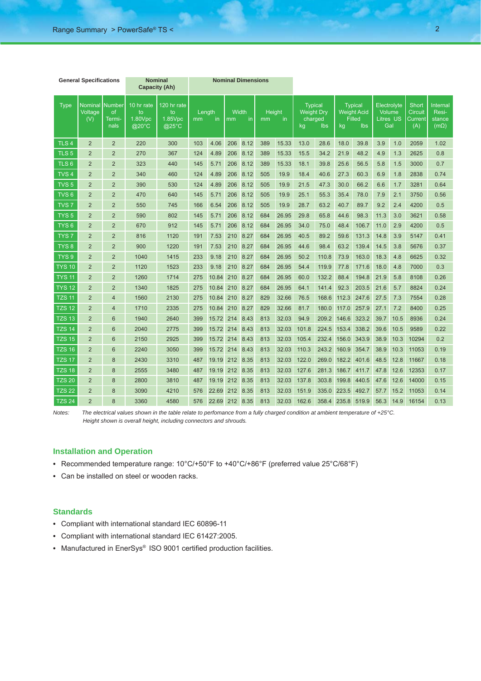| <b>General Specifications</b> |                           |                                       | <b>Nominal</b><br><b>Capacity (Ah)</b> |                                                 | <b>Nominal Dimensions</b> |       |                          |          |                           |       |                                                             |       |                                                                           |       |                                                  |      |                                           |                                            |
|-------------------------------|---------------------------|---------------------------------------|----------------------------------------|-------------------------------------------------|---------------------------|-------|--------------------------|----------|---------------------------|-------|-------------------------------------------------------------|-------|---------------------------------------------------------------------------|-------|--------------------------------------------------|------|-------------------------------------------|--------------------------------------------|
| <b>Type</b>                   | Nominal<br>Voltage<br>(V) | <b>Number</b><br>of<br>Termi-<br>nals | 10 hr rate<br>to<br>1.80Vpc<br>@20°C   | 120 hr rate<br>to<br>1.85Vpc<br>$@25^{\circ}$ C | Length<br>mm<br>in        |       | <b>Width</b><br>mm<br>in |          | <b>Height</b><br>in<br>mm |       | <b>Typical</b><br><b>Weight Dry</b><br>charged<br>Ibs<br>kg |       | <b>Typical</b><br><b>Weight Acid</b><br><b>Filled</b><br><b>lbs</b><br>kg |       | Electrolyte<br>Volume<br><b>Litres US</b><br>Gal |      | <b>Short</b><br>Circuit<br>Current<br>(A) | Internal<br>Resi-<br>stance<br>$(m\Omega)$ |
| TLS <sub>4</sub>              | $\overline{2}$            | $\overline{2}$                        | 220                                    | 300                                             | 103                       | 4.06  | 206                      | 8.12     | 389                       | 15.33 | 13.0                                                        | 28.6  | 18.0                                                                      | 39.8  | 3.9                                              | 1.0  | 2059                                      | 1.02                                       |
| TLS <sub>5</sub>              | $\overline{2}$            | $\overline{2}$                        | 270                                    | 367                                             | 124                       | 4.89  | 206                      | 8.12     | 389                       | 15.33 | 15.5                                                        | 34.2  | 21.9                                                                      | 48.2  | 4.9                                              | 1.3  | 2625                                      | 0.8                                        |
| TLS <sub>6</sub>              | $\overline{2}$            | $\overline{2}$                        | 323                                    | 440                                             | 145                       | 5.71  | 206                      | 8.12     | 389                       | 15.33 | 18.1                                                        | 39.8  | 25.6                                                                      | 56.5  | 5.8                                              | 1.5  | 3000                                      | 0.7                                        |
| TVS <sub>4</sub>              | $\overline{2}$            | $\overline{2}$                        | 340                                    | 460                                             | 124                       | 4.89  | 206                      | 8.12     | 505                       | 19.9  | 18.4                                                        | 40.6  | 27.3                                                                      | 60.3  | 6.9                                              | 1.8  | 2838                                      | 0.74                                       |
| TVS <sub>5</sub>              | $\overline{2}$            | $\overline{2}$                        | 390                                    | 530                                             | 124                       | 4.89  | 206                      | 8.12     | 505                       | 19.9  | 21.5                                                        | 47.3  | 30.0                                                                      | 66.2  | 6.6                                              | 1.7  | 3281                                      | 0.64                                       |
| TVS <sub>6</sub>              | $\overline{2}$            | $\overline{2}$                        | 470                                    | 640                                             | 145                       | 5.71  | 206                      | 8.12     | 505                       | 19.9  | 25.1                                                        | 55.3  | 35.4                                                                      | 78.0  | 7.9                                              | 2.1  | 3750                                      | 0.56                                       |
| TVS <sub>7</sub>              | $\overline{2}$            | $\overline{2}$                        | 550                                    | 745                                             | 166                       | 6.54  | 206                      | 8.12     | 505                       | 19.9  | 28.7                                                        | 63.2  | 40.7                                                                      | 89.7  | 9.2                                              | 2.4  | 4200                                      | 0.5                                        |
| TYS <sub>5</sub>              | $\overline{2}$            | $\overline{2}$                        | 590                                    | 802                                             | 145                       | 5.71  | 206                      | 8.12     | 684                       | 26.95 | 29.8                                                        | 65.8  | 44.6                                                                      | 98.3  | 11.3                                             | 3.0  | 3621                                      | 0.58                                       |
| TYS <sub>6</sub>              | $\overline{2}$            | $\overline{2}$                        | 670                                    | 912                                             | 145                       | 5.71  | 206                      | 8.12     | 684                       | 26.95 | 34.0                                                        | 75.0  | 48.4                                                                      | 106.7 | 11.0                                             | 2.9  | 4200                                      | 0.5                                        |
| TYS <sub>7</sub>              | $\overline{2}$            | $\overline{2}$                        | 816                                    | 1120                                            | 191                       | 7.53  | 210                      | 8.27     | 684                       | 26.95 | 40.5                                                        | 89.2  | 59.6                                                                      | 131.3 | 14.8                                             | 3.9  | 5147                                      | 0.41                                       |
| TYS <sub>8</sub>              | $\overline{2}$            | $\overline{2}$                        | 900                                    | 1220                                            | 191                       | 7.53  | 210                      | 8.27     | 684                       | 26.95 | 44.6                                                        | 98.4  | 63.2                                                                      | 139.4 | 14.5                                             | 3.8  | 5676                                      | 0.37                                       |
| TYS <sub>9</sub>              | $\overline{2}$            | $\overline{2}$                        | 1040                                   | 1415                                            | 233                       | 9.18  | 210                      | 8.27     | 684                       | 26.95 | 50.2                                                        | 110.8 | 73.9                                                                      | 163.0 | 18.3                                             | 4.8  | 6625                                      | 0.32                                       |
| <b>TYS 10</b>                 | $\overline{2}$            | $\overline{2}$                        | 1120                                   | 1523                                            | 233                       | 9.18  | 210                      | 8.27     | 684                       | 26.95 | 54.4                                                        | 119.9 | 77.8                                                                      | 171.6 | 18.0                                             | 4.8  | 7000                                      | 0.3                                        |
| <b>TYS 11</b>                 | $\overline{2}$            | $\overline{2}$                        | 1260                                   | 1714                                            | 275                       | 10.84 | 210                      | 8.27     | 684                       | 26.95 | 60.0                                                        | 132.2 | 88.4                                                                      | 194.8 | 21.9                                             | 5.8  | 8108                                      | 0.26                                       |
| <b>TYS 12</b>                 | $\overline{2}$            | $\overline{2}$                        | 1340                                   | 1825                                            | 275                       | 10.84 | 210                      | 8.27     | 684                       | 26.95 | 64.1                                                        | 141.4 | 92.3                                                                      | 203.5 | 21.6                                             | 5.7  | 8824                                      | 0.24                                       |
| <b>TZS 11</b>                 | $\overline{2}$            | 4                                     | 1560                                   | 2130                                            | 275                       | 10.84 | 210                      | 8.27     | 829                       | 32.66 | 76.5                                                        | 168.6 | 112.3                                                                     | 247.6 | 27.5                                             | 7.3  | 7554                                      | 0.28                                       |
| <b>TZS 12</b>                 | $\overline{2}$            | $\overline{4}$                        | 1710                                   | 2335                                            | 275                       | 10.84 | 210                      | 8.27     | 829                       | 32.66 | 81.7                                                        | 180.0 | 117.0                                                                     | 257.9 | 27.1                                             | 7.2  | 8400                                      | 0.25                                       |
| <b>TZS 13</b>                 | $\overline{2}$            | 6                                     | 1940                                   | 2640                                            | 399                       | 15.72 | 214                      | 8.43     | 813                       | 32.03 | 94.9                                                        | 209.2 | 146.6                                                                     | 323.2 | 39.7                                             | 10.5 | 8936                                      | 0.24                                       |
| <b>TZS 14</b>                 | $\overline{2}$            | 6                                     | 2040                                   | 2775                                            | 399                       | 15.72 | 214                      | 8.43     | 813                       | 32.03 | 101.8                                                       | 224.5 | 153.4                                                                     | 338.2 | 39.6                                             | 10.5 | 9589                                      | 0.22                                       |
| <b>TZS 15</b>                 | $\overline{2}$            | 6                                     | 2150                                   | 2925                                            | 399                       | 15.72 | 214                      | 8.43     | 813                       | 32.03 | 105.4                                                       | 232.4 | 156.0                                                                     | 343.9 | 38.9                                             | 10.3 | 10294                                     | 0.2                                        |
| <b>TZS 16</b>                 | $\overline{2}$            | 6                                     | 2240                                   | 3050                                            | 399                       | 15.72 | 214                      | 8.43     | 813                       | 32.03 | 110.3                                                       | 243.2 | 160.9                                                                     | 354.7 | 38.9                                             | 10.3 | 11053                                     | 0.19                                       |
| <b>TZS 17</b>                 | $\overline{2}$            | 8                                     | 2430                                   | 3310                                            | 487                       | 19.19 | 212                      | 8.35     | 813                       | 32.03 | 122.0                                                       | 269.0 | 182.2                                                                     | 401.6 | 48.5                                             | 12.8 | 11667                                     | 0.18                                       |
| <b>TZS 18</b>                 | $\overline{2}$            | 8                                     | 2555                                   | 3480                                            | 487                       | 19.19 | 212                      | 8.35     | 813                       | 32.03 | 127.6                                                       | 281.3 | 186.7                                                                     | 411.7 | 47.8                                             | 12.6 | 12353                                     | 0.17                                       |
| <b>TZS 20</b>                 | $\overline{2}$            | 8                                     | 2800                                   | 3810                                            | 487                       | 19.19 | 212                      | 8.35     | 813                       | 32.03 | 137.8                                                       | 303.8 | 199.8                                                                     | 440.5 | 47.6                                             | 12.6 | 14000                                     | 0.15                                       |
| <b>TZS 22</b>                 | $\overline{2}$            | 8                                     | 3090                                   | 4210                                            | 576                       | 22.69 | 212                      | 8.35     | 813                       | 32.03 | 151.9                                                       | 335.0 | 223.5                                                                     | 492.7 | 57.7                                             | 15.2 | 11053                                     | 0.14                                       |
| <b>TZS 24</b>                 | $\overline{2}$            | 8                                     | 3360                                   | 4580                                            | 576                       | 22.69 |                          | 212 8.35 | 813                       | 32.03 | 162.6                                                       | 358.4 | 235.8                                                                     | 519.9 | 56.3                                             | 14.9 | 16154                                     | 0.13                                       |

*Notes: The electrical values shown in the table relate to perfomance from a fully charged condition at ambient temperature of +25°C. Height shown is overall height, including connectors and shrouds.*

## **Installation and Operation**

- Recommended temperature range: 10°C/+50°F to +40°C/+86°F (preferred value 25°C/68°F)
- Can be installed on steel or wooden racks.

## **Standards**

- Compliant with international standard IEC 60896-11
- Compliant with international standard IEC 61427:2005.
- Manufactured in EnerSys® ISO 9001 certified production facilities.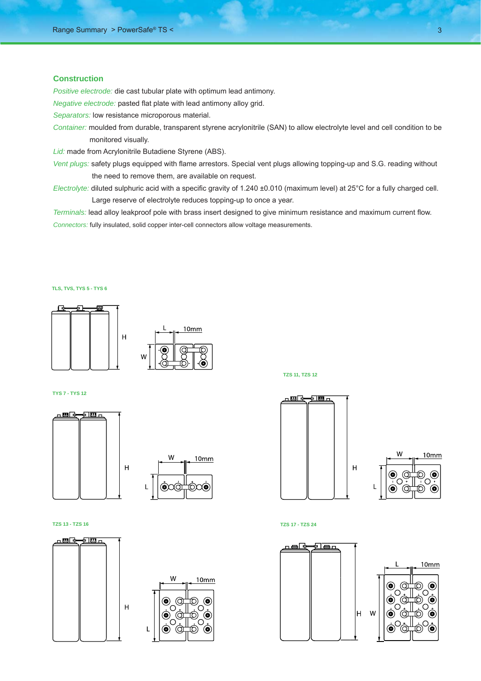## **Construction**

*Positive electrode:* die cast tubular plate with optimum lead antimony.

*Negative electrode:* pasted flat plate with lead antimony alloy grid.

*Separators:* low resistance microporous material.

*Container:* moulded from durable, transparent styrene acrylonitrile (SAN) to allow electrolyte level and cell condition to be monitored visually.

*Lid:* made from Acrylonitrile Butadiene Styrene (ABS).

*Vent plugs:* safety plugs equipped with flame arrestors. Special vent plugs allowing topping-up and S.G. reading without the need to remove them, are available on request.

*Electrolyte:* diluted sulphuric acid with a specific gravity of 1.240 ±0.010 (maximum level) at 25°C for a fully charged cell. Large reserve of electrolyte reduces topping-up to once a year.

*Terminals:* lead alloy leakproof pole with brass insert designed to give minimum resistance and maximum current flow. *Connectors:* fully insulated, solid copper inter-cell connectors allow voltage measurements.

#### **TLS, TVS, TYS 5 - TYS 6**



#### **TYS 7 - TYS 12**



#### **TZS 13 - TZS 16 TZS 17 - TZS 24**



**TZS 11, TZS 12**